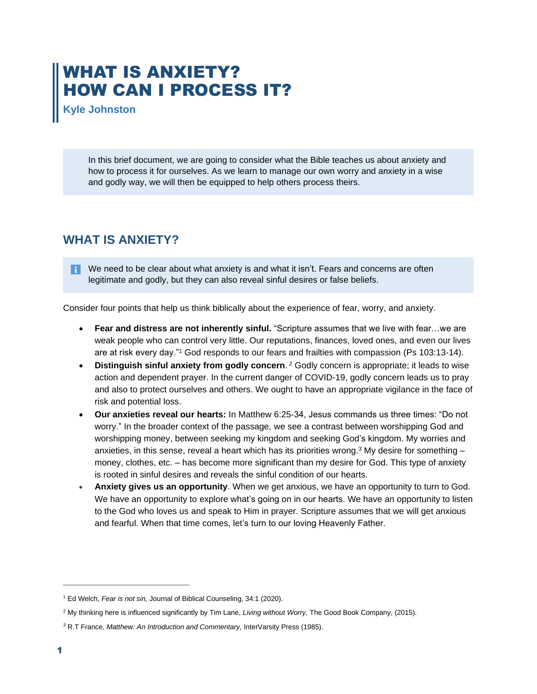## WHAT IS ANXIETY? HOW CAN I PROCESS IT?

**Kyle Johnston** 

In this brief document, we are going to consider what the Bible teaches us about anxiety and how to process it for ourselves. As we learn to manage our own worry and anxiety in a wise and godly way, we will then be equipped to help others process theirs.

## **WHAT IS ANXIETY?**

 $\bullet$  We need to be clear about what anxiety is and what it isn't. Fears and concerns are often legitimate and godly, but they can also reveal sinful desires or false beliefs.

Consider four points that help us think biblically about the experience of fear, worry, and anxiety.

- **Fear and distress are not inherently sinful.** "Scripture assumes that we live with fear…we are weak people who can control very little. Our reputations, finances, loved ones, and even our lives are at risk every day."<sup>1</sup> God responds to our fears and frailties with compassion (Ps 103:13-14).
- **Distinguish sinful anxiety from godly concern**. <sup>2</sup> Godly concern is appropriate; it leads to wise action and dependent prayer. In the current danger of COVID-19, godly concern leads us to pray and also to protect ourselves and others. We ought to have an appropriate vigilance in the face of risk and potential loss.
- **Our anxieties reveal our hearts:** In Matthew 6:25-34, Jesus commands us three times: "Do not worry." In the broader context of the passage, we see a contrast between worshipping God and worshipping money, between seeking my kingdom and seeking God's kingdom. My worries and anxieties, in this sense, reveal a heart which has its priorities wrong.<sup>3</sup> My desire for something  $$ money, clothes, etc. – has become more significant than my desire for God. This type of anxiety is rooted in sinful desires and reveals the sinful condition of our hearts.
- **Anxiety gives us an opportunity**. When we get anxious, we have an opportunity to turn to God. We have an opportunity to explore what's going on in our hearts. We have an opportunity to listen to the God who loves us and speak to Him in prayer. Scripture assumes that we will get anxious and fearful. When that time comes, let's turn to our loving Heavenly Father.

<sup>1</sup> Ed Welch, *Fear is not sin,* Journal of Biblical Counseling, 34:1 (2020).

<sup>2</sup> My thinking here is influenced significantly by Tim Lane, *Living without Worry,* The Good Book Company, (2015).

*<sup>3</sup>* R.T France, *Matthew: An Introduction and Commentary,* InterVarsity Press (1985).